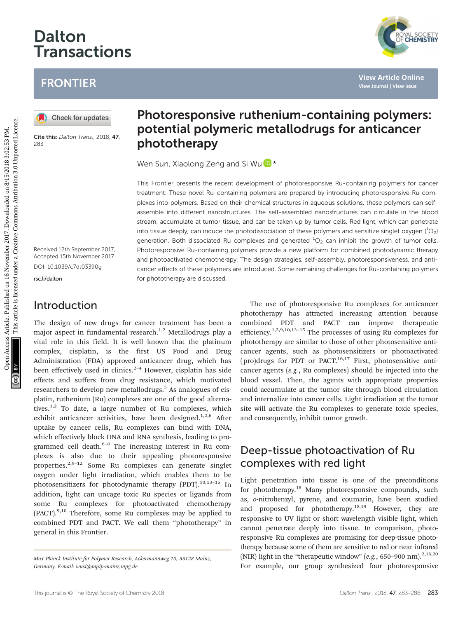# Dalton Transactions

## FRONTIER

Cite this: Dalton Trans., 2018, 47, 283

Received 12th September 2017, Accepted 15th November 2017 DOI: 10.1039/c7dt03390g

[rsc.li/dalton](www.rsc.li/dalton)

#### Introduction

The design of new drugs for cancer treatment has been a major aspect in fundamental research.<sup>1,2</sup> Metallodrugs play a vital role in this field. It is well known that the platinum complex, cisplatin, is the first US Food and Drug Administration (FDA) approved anticancer drug, which has been effectively used in clinics. $2-4$  However, cisplatin has side effects and suffers from drug resistance, which motivated researchers to develop new metallodrugs.<sup>5</sup> As analogues of cisplatin, ruthenium (Ru) complexes are one of the good alternatives.<sup>1,2</sup> To date, a large number of Ru complexes, which exhibit anticancer activities, have been designed.<sup>1,2,6</sup> After uptake by cancer cells, Ru complexes can bind with DNA, which effectively block DNA and RNA synthesis, leading to programmed cell death.<sup>6–8</sup> The increasing interest in Ru complexes is also due to their appealing photoresponsive properties.2,9–<sup>12</sup> Some Ru complexes can generate singlet oxygen under light irradiation, which enables them to be photosensitizers for photodynamic therapy (PDT).<sup>10,13-15</sup> In addition, light can uncage toxic Ru species or ligands from some Ru complexes for photoactivated chemotherapy (PACT).9,10 Therefore, some Ru complexes may be applied to combined PDT and PACT. We call them "phototherapy" in general in this Frontier.

## Photoresponsive ruthenium-containing polymers: potential polymeric metallodrugs for anticancer phototherapy

Wen Sun, Xiaolong Zeng and Si Wu D \*

This Frontier presents the recent development of photoresponsive Ru-containing polymers for cancer treatment. These novel Ru-containing polymers are prepared by introducing photoresponsive Ru complexes into polymers. Based on their chemical structures in aqueous solutions, these polymers can selfassemble into different nanostructures. The self-assembled nanostructures can circulate in the blood stream, accumulate at tumor tissue, and can be taken up by tumor cells. Red light, which can penetrate into tissue deeply, can induce the photodissociation of these polymers and sensitize singlet oxygen  $(^1O_2)$ generation. Both dissociated Ru complexes and generated  ${}^{1}O_{2}$  can inhibit the growth of tumor cells. Photoresponsive Ru-containing polymers provide a new platform for combined photodynamic therapy and photoactivated chemotherapy. The design strategies, self-assembly, photoresponsiveness, and anticancer effects of these polymers are introduced. Some remaining challenges for Ru-containing polymers for phototherapy are discussed. FRONTIER<br> **(0)** Checkforwednes<br> **Example 10)**<br> **Checkforwednes**<br> **Checkforwednes**<br> **Checkforwednes**<br> **Checkforwednes**<br> **Checkforwednes**<br> **Checkforwednes**<br> **Checkforwedness**<br> **Checkforwedness**<br> **Checkforwedness**<br> **Checkfor** 

The use of photoresponsive Ru complexes for anticancer phototherapy has attracted increasing attention because combined PDT and PACT can improve therapeutic efficiency.<sup>1,2,9,10,13-15</sup> The processes of using Ru complexes for phototherapy are similar to those of other photosensitive anticancer agents, such as photosensitizers or photoactivated (pro)drugs for PDT or PACT.<sup>16,17</sup> First, photosensitive anticancer agents (e.g., Ru complexes) should be injected into the blood vessel. Then, the agents with appropriate properties could accumulate at the tumor site through blood circulation and internalize into cancer cells. Light irradiation at the tumor site will activate the Ru complexes to generate toxic species, and consequently, inhibit tumor growth.

### Deep-tissue photoactivation of Ru complexes with red light

Light penetration into tissue is one of the preconditions for phototherapy.<sup>18</sup> Many photoresponsive compounds, such as, o-nitrobenzyl, pyrene, and coumarin, have been studied and proposed for phototherapy.<sup>18,19</sup> However, they are responsive to UV light or short wavelength visible light, which cannot penetrate deeply into tissue. In comparison, photoresponsive Ru complexes are promising for deep-tissue phototherapy because some of them are sensitive to red or near infrared (NIR) light in the "therapeutic window" (e.g., 650–900 nm).<sup>2,16,20</sup> For example, our group synthesized four photoresponsive

Max Planck Institute for Polymer Research, Ackermannweg 10, 55128 Mainz, Germany. E-mail: wusi@mpip-mainz.mpg.de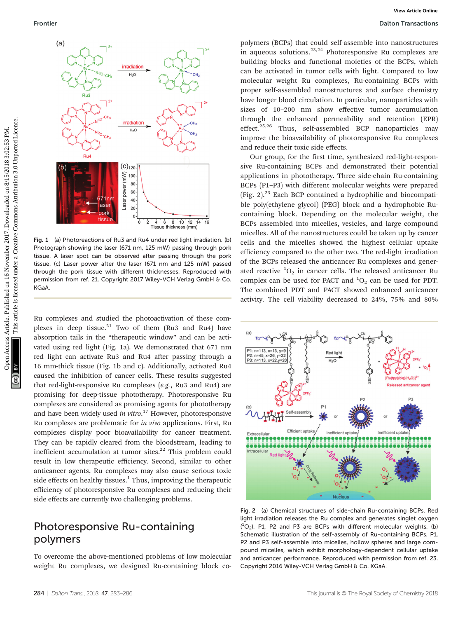

Fig. 1 (a) Photoreactions of Ru3 and Ru4 under red light irradiation. (b) Photograph showing the laser (671 nm, 125 mW) passing through pork tissue. A laser spot can be observed after passing through the pork tissue. (c) Laser power after the laser (671 nm and 125 mW) passed through the pork tissue with different thicknesses. Reproduced with permission from ref. 21. Copyright 2017 Wiley-VCH Verlag GmbH & Co. KGaA.

Ru complexes and studied the photoactivation of these complexes in deep tissue. $21$  Two of them (Ru3 and Ru4) have absorption tails in the "therapeutic window" and can be activated using red light (Fig. 1a). We demonstrated that 671 nm red light can activate Ru3 and Ru4 after passing through a 16 mm-thick tissue (Fig. 1b and c). Additionally, activated Ru4 caused the inhibition of cancer cells. These results suggested that red-light-responsive Ru complexes (e.g., Ru3 and Ru4) are promising for deep-tissue phototherapy. Photoresponsive Ru complexes are considered as promising agents for phototherapy and have been widely used in vitro.<sup>17</sup> However, photoresponsive Ru complexes are problematic for in vivo applications. First, Ru complexes display poor bioavailability for cancer treatment. They can be rapidly cleared from the bloodstream, leading to inefficient accumulation at tumor sites. $22$  This problem could result in low therapeutic efficiency. Second, similar to other anticancer agents, Ru complexes may also cause serious toxic side effects on healthy tissues. $<sup>1</sup>$  Thus, improving the therapeutic</sup> efficiency of photoresponsive Ru complexes and reducing their side effects are currently two challenging problems.

#### Photoresponsive Ru-containing polymers

To overcome the above-mentioned problems of low molecular weight Ru complexes, we designed Ru-containing block co-

polymers (BCPs) that could self-assemble into nanostructures in aqueous solutions. $2^{3,24}$  Photoresponsive Ru complexes are building blocks and functional moieties of the BCPs, which can be activated in tumor cells with light. Compared to low molecular weight Ru complexes, Ru-containing BCPs with proper self-assembled nanostructures and surface chemistry have longer blood circulation. In particular, nanoparticles with sizes of 10–200 nm show effective tumor accumulation through the enhanced permeability and retention (EPR) effect. $25,26$  Thus, self-assembled BCP nanoparticles may improve the bioavailability of photoresponsive Ru complexes and reduce their toxic side effects.

Our group, for the first time, synthesized red-light-responsive Ru-containing BCPs and demonstrated their potential applications in phototherapy. Three side-chain Ru-containing BCPs (P1–P3) with different molecular weights were prepared (Fig. 2). $^{23}$  Each BCP contained a hydrophilic and biocompatible poly(ethylene glycol) (PEG) block and a hydrophobic Rucontaining block. Depending on the molecular weight, the BCPs assembled into micelles, vesicles, and large compound micelles. All of the nanostructures could be taken up by cancer cells and the micelles showed the highest cellular uptake efficiency compared to the other two. The red-light irradiation of the BCPs released the anticancer Ru complexes and generated reactive  ${}^{1}O_{2}$  in cancer cells. The released anticancer Ru complex can be used for PACT and  ${}^{1}O_{2}$  can be used for PDT. The combined PDT and PACT showed enhanced anticancer activity. The cell viability decreased to 24%, 75% and 80%



Fig. 2 (a) Chemical structures of side-chain Ru-containing BCPs. Red light irradiation releases the Ru complex and generates singlet oxygen  $(^1O_2)$ . P1, P2 and P3 are BCPs with different molecular weights. (b) Schematic illustration of the self-assembly of Ru-containing BCPs. P1, P2 and P3 self-assemble into micelles, hollow spheres and large compound micelles, which exhibit morphology-dependent cellular uptake and anticancer performance. Reproduced with permission from ref. 23. Copyright 2016 Wiley-VCH Verlag GmbH & Co. KGaA.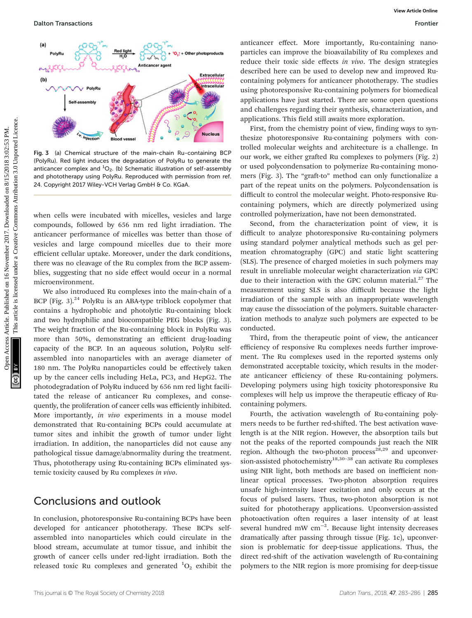

Fig. 3 (a) Chemical structure of the main-chain Ru-containing BCP (PolyRu). Red light induces the degradation of PolyRu to generate the anticancer complex and  $^{1}O_{2}$ . (b) Schematic illustration of self-assembly and phototherapy using PolyRu. Reproduced with permission from ref. 24. Copyright 2017 Wiley-VCH Verlag GmbH & Co. KGaA

when cells were incubated with micelles, vesicles and large compounds, followed by 656 nm red light irradiation. The anticancer performance of micelles was better than those of vesicles and large compound micelles due to their more efficient cellular uptake. Moreover, under the dark conditions, there was no cleavage of the Ru complex from the BCP assemblies, suggesting that no side effect would occur in a normal microenvironment.

We also introduced Ru complexes into the main-chain of a BCP (Fig. 3). $^{24}$  PolyRu is an ABA-type triblock copolymer that contains a hydrophobic and photolytic Ru-containing block and two hydrophilic and biocompatible PEG blocks (Fig. 3). The weight fraction of the Ru-containing block in PolyRu was more than 50%, demonstrating an efficient drug-loading capacity of the BCP. In an aqueous solution, PolyRu selfassembled into nanoparticles with an average diameter of 180 nm. The PolyRu nanoparticles could be effectively taken up by the cancer cells including HeLa, PC3, and HepG2. The photodegradation of PolyRu induced by 656 nm red light facilitated the release of anticancer Ru complexes, and consequently, the proliferation of cancer cells was efficiently inhibited. More importantly, in vivo experiments in a mouse model demonstrated that Ru-containing BCPs could accumulate at tumor sites and inhibit the growth of tumor under light irradiation. In addition, the nanoparticles did not cause any pathological tissue damage/abnormality during the treatment. Thus, phototherapy using Ru-containing BCPs eliminated systemic toxicity caused by Ru complexes in vivo.

#### Conclusions and outlook

In conclusion, photoresponsive Ru-containing BCPs have been developed for anticancer phototherapy. These BCPs selfassembled into nanoparticles which could circulate in the blood stream, accumulate at tumor tissue, and inhibit the growth of cancer cells under red-light irradiation. Both the released toxic Ru complexes and generated  ${}^{1}O_{2}$  exhibit the

anticancer effect. More importantly, Ru-containing nanoparticles can improve the bioavailability of Ru complexes and reduce their toxic side effects in vivo. The design strategies described here can be used to develop new and improved Rucontaining polymers for anticancer phototherapy. The studies using photoresponsive Ru-containing polymers for biomedical applications have just started. There are some open questions and challenges regarding their synthesis, characterization, and applications. This field still awaits more exploration.

First, from the chemistry point of view, finding ways to synthesize photoresponsive Ru-containing polymers with controlled molecular weights and architecture is a challenge. In our work, we either grafted Ru complexes to polymers (Fig. 2) or used polycondensation to polymerize Ru-containing monomers (Fig. 3). The "graft-to" method can only functionalize a part of the repeat units on the polymers. Polycondensation is difficult to control the molecular weight. Photo-responsive Rucontaining polymers, which are directly polymerized using controlled polymerization, have not been demonstrated.

Second, from the characterization point of view, it is difficult to analyze photoresponsive Ru-containing polymers using standard polymer analytical methods such as gel permeation chromatography (GPC) and static light scattering (SLS). The presence of charged moieties in such polymers may result in unreliable molecular weight characterization via GPC due to their interaction with the GPC column material. $27$  The measurement using SLS is also difficult because the light irradiation of the sample with an inappropriate wavelength may cause the dissociation of the polymers. Suitable characterization methods to analyze such polymers are expected to be conducted.

Third, from the therapeutic point of view, the anticancer efficiency of responsive Ru complexes needs further improvement. The Ru complexes used in the reported systems only demonstrated acceptable toxicity, which results in the moderate anticancer efficiency of these Ru-containing polymers. Developing polymers using high toxicity photoresponsive Ru complexes will help us improve the therapeutic efficacy of Rucontaining polymers.

Fourth, the activation wavelength of Ru-containing polymers needs to be further red-shifted. The best activation wavelength is at the NIR region. However, the absorption tails but not the peaks of the reported compounds just reach the NIR region. Although the two-photon process<sup>28,29</sup> and upconversion-assisted photochemistry<sup>18,30–38</sup> can activate Ru complexes using NIR light, both methods are based on inefficient nonlinear optical processes. Two-photon absorption requires unsafe high-intensity laser excitation and only occurs at the focus of pulsed lasers. Thus, two-photon absorption is not suited for phototherapy applications. Upconversion-assisted photoactivation often requires a laser intensity of at least several hundred mW  $cm^{-2}$ . Because light intensity decreases dramatically after passing through tissue (Fig. 1c), upconversion is problematic for deep-tissue applications. Thus, the direct red-shift of the activation wavelength of Ru-containing polymers to the NIR region is more promising for deep-tissue